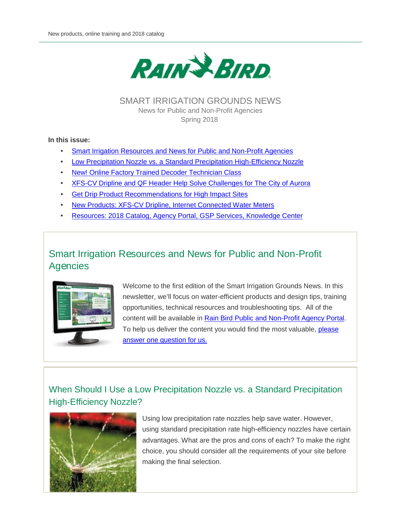

### SMART IRRIGATION GROUNDS NEWS News for Public and Non-Profit Agencies Spring 2018

#### **In this issue:**

- Smart Irrigation Resources and News for Public and Non-Profit Agencies
- Low Precipitation Nozzle vs. a Standard Precipitation High-Efficiency Nozzle
- New! Online Factory Trained Decoder Technician Class
- XFS-CV Dripline and QF Header Help Solve Challenges for The City of Aurora
- **Get Drip Product Recommendations for High Impact Sites**
- New Products: XFS-CV Dripline, Internet Connected Water Meters
- Resources: 2018 Catalog, Agency Portal, GSP Services, Knowledge Center

# Smart Irrigation Resources and News for Public and Non-Profit Agencies



Welcome to the first edition of the Smart Irrigation Grounds News. In this newsletter, we'll focus on water-efficient products and design tips, training opportunities, technical resources and troubleshooting tips. All of the content will be available in Rain Bird Public and Non-Profit Agency Portal. To help us deliver the content you would find the most valuable, please answer one question for us.

## When Should I Use a Low Precipitation Nozzle vs. a Standard Precipitation High-Efficiency Nozzle?



Using low precipitation rate nozzles help save water. However, using standard precipitation rate high-efficiency nozzles have certain advantages. What are the pros and cons of each? To make the right choice, you should consider all the requirements of your site before making the final selection.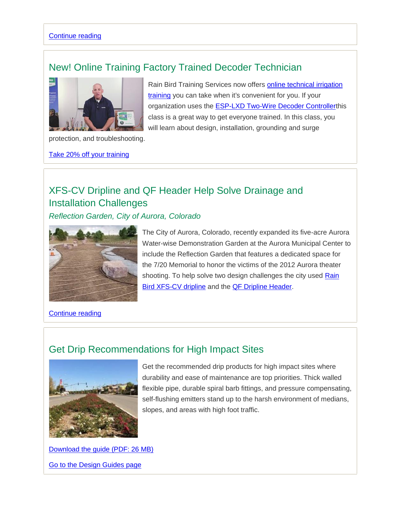# New! Online Training Factory Trained Decoder Technician



Rain Bird Training Services now offers online technical irrigation training you can take when it's convenient for you. If your organization uses the **ESP-LXD Two-Wire Decoder Controllerthis** class is a great way to get everyone trained. In this class, you will learn about design, installation, grounding and surge

protection, and troubleshooting.

Take 20% off your training

# XFS-CV Dripline and QF Header Help Solve Drainage and Installation Challenges

### *Reflection Garden, City of Aurora, Colorado*



The City of Aurora, Colorado, recently expanded its five-acre Aurora Water-wise Demonstration Garden at the Aurora Municipal Center to include the Reflection Garden that features a dedicated space for the 7/20 Memorial to honor the victims of the 2012 Aurora theater shooting. To help solve two design challenges the city used Rain Bird XFS-CV dripline and the QF Dripline Header.

Continue reading

## Get Drip Recommendations for High Impact Sites



Get the recommended drip products for high impact sites where durability and ease of maintenance are top priorities. Thick walled flexible pipe, durable spiral barb fittings, and pressure compensating, self-flushing emitters stand up to the harsh environment of medians, slopes, and areas with high foot traffic.

Download the guide (PDF: 26 MB) Go to the Design Guides page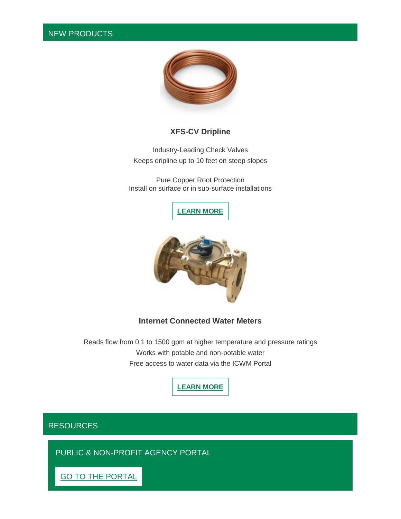

### **XFS-CV Dripline**

Industry-Leading Check Valves Keeps dripline up to 10 feet on steep slopes

Pure Copper Root Protection Install on surface or in sub-surface installations





### **Internet Connected Water Meters**

Reads flow from 0.1 to 1500 gpm at higher temperature and pressure ratings Works with potable and non-potable water Free access to water data via the ICWM Portal



### **RESOURCES**

PUBLIC & NON-PROFIT AGENCY PORTAL

GO TO THE PORTAL